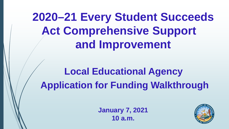**2020–21 Every Student Succeeds Act Comprehensive Support and Improvement**

**Local Educational Agency Application for Funding Walkthrough**

> **January 7, 2021 10 a.m.**

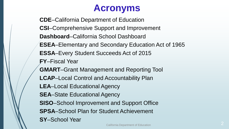#### **Acronyms**

**CDE**–California Department of Education **CSI**–Comprehensive Support and Improvement **Dashboard**–California School Dashboard **ESEA**–Elementary and Secondary Education Act of 1965 **ESSA**–Every Student Succeeds Act of 2015 **FY**–Fiscal Year **GMART**–Grant Management and Reporting Tool **LCAP**–Local Control and Accountability Plan **LEA**–Local Educational Agency **SEA**–State Educational Agency **SISO**–School Improvement and Support Office **SPSA**–School Plan for Student Achievement **SY**–School Year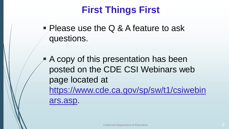### **First Things First**

- **Please use the Q & A feature to ask** questions.
- A copy of this presentation has been posted on the CDE CSI Webinars web page located at [https://www.cde.ca.gov/sp/sw/t1/csiwebin](https://www.cde.ca.gov/sp/sw/t1/csiwebinars.asp) ars.asp.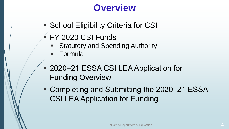#### **Overview**

- **School Eligibility Criteria for CSI**
- FY 2020 CSI Funds
	- Statutory and Spending Authority
	- Formula
- 2020-21 ESSA CSI LEA Application for Funding Overview
- Completing and Submitting the 2020-21 ESSA CSI LEA Application for Funding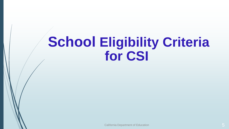# **School Eligibility Criteria for CSI**

California Department of Education 5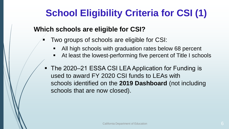# **School Eligibility Criteria for CSI (1)**

#### **Which schools are eligible for CSI?**

- Two groups of schools are eligible for CSI:
	- All high schools with graduation rates below 68 percent
	- At least the lowest-performing five percent of Title I schools
- The 2020–21 ESSA CSI LEA Application for Funding is used to award FY 2020 CSI funds to LEAs with schools identified on the **2019 Dashboard** (not including schools that are now closed).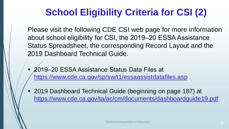## **School Eligibility Criteria for CSI (2)**

Please visit the following CDE CSI web page for more information about school eligibility for CSI, the 2019–20 ESSA Assistance Status Spreadsheet, the corresponding Record Layout and the 2019 Dashboard Technical Guide.

- 2019–20 ESSA Assistance Status Data Files at <https://www.cde.ca.gov/sp/sw/t1/essaassistdatafiles.asp>
- 2019 Dashboard Technical Guide (beginning on page 187) at <https://www.cde.ca.gov/ta/ac/cm/documents/dashboardguide19.pdf>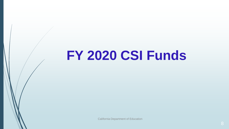# **FY 2020 CSI Funds**

California Department of Education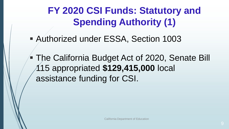**FY 2020 CSI Funds: Statutory and Spending Authority (1)**

Authorized under ESSA, Section 1003

**The California Budget Act of 2020, Senate Bill** 115 appropriated **\$129,415,000** local assistance funding for CSI.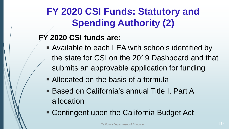## **FY 2020 CSI Funds: Statutory and Spending Authority (2)**

#### **FY 2020 CSI funds are:**

- Available to each LEA with schools identified by the state for CSI on the 2019 Dashboard and that submits an approvable application for funding
- Allocated on the basis of a formula
- Based on California's annual Title I, Part A allocation
- Contingent upon the California Budget Act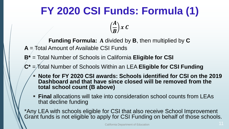# **FY 2020 CSI Funds: Formula (1)**

 $\boldsymbol{A}$  $\overline{B}$  |  $x C$ 

- **Funding Formula:** A divided by **B**, then multiplied by **C A** = Total Amount of Available CSI Funds
- **B\*** = Total Number of Schools in California **Eligible for CSI**
- **C\*** = Total Number of Schools Within an LEA **Eligible for CSI Funding**
	- **Note for FY 2020 CSI awards: Schools identified for CSI on the 2019 Dashboard and that have since closed will be removed from the total school count (B above)**
	- **Final** allocations will take into consideration school counts from LEAs that decline funding

\*Any LEA with schools eligible for CSI that also receive School Improvement Grant funds is not eligible to apply for CSI Funding on behalf of those schools.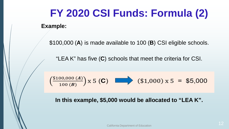# **FY 2020 CSI Funds: Formula (2)**

**Example:**

\$100,000 (**A**) is made available to 100 (**B**) CSI eligible schools.

"LEA K" has five (**C**) schools that meet the criteria for CSI.

$$
\left(\frac{\$100,000 (A)}{100 (B)}\right) \times 5 \text{ (C)} \quad \Longrightarrow \quad (\$1,000) \times 5 = \$5,000
$$

**In this example, \$5,000 would be allocated to "LEA K".**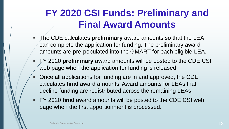#### **FY 2020 CSI Funds: Preliminary and Final Award Amounts**

- The CDE calculates **preliminary** award amounts so that the LEA can complete the application for funding. The preliminary award amounts are pre-populated into the GMART for each eligible LEA.
- FY 2020 **preliminary** award amounts will be posted to the CDE CSI web page when the application for funding is released.
- Once all applications for funding are in and approved, the CDE calculates **final** award amounts. Award amounts for LEAs that decline funding are redistributed across the remaining LEAs.
- FY 2020 **final** award amounts will be posted to the CDE CSI web page when the first apportionment is processed.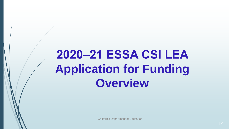# **2020‒21 ESSA CSI LEA Application for Funding Overview**

California Department of Education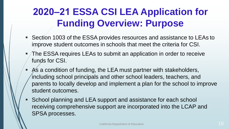## **2020‒21 ESSA CSI LEA Application for Funding Overview: Purpose**

- Section 1003 of the ESSA provides resources and assistance to LEAs to improve student outcomes in schools that meet the criteria for CSI.
- The ESSA requires LEAs to submit an application in order to receive funds for CSI.
- As a condition of funding, the LEA must partner with stakeholders, including school principals and other school leaders, teachers, and parents to locally develop and implement a plan for the school to improve student outcomes.
- School planning and LEA support and assistance for each school receiving comprehensive support are incorporated into the LCAP and SPSA processes.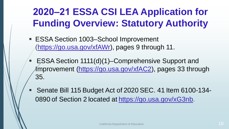## **2020‒21 ESSA CSI LEA Application for Funding Overview: Statutory Authority**

- ESSA Section 1003–School Improvement ([https://go.usa.gov/xfAWr\)](https://go.usa.gov/xfAWr), pages 9 through 11.
- ESSA Section 1111(d)(1)–Comprehensive Support and Improvement [\(https://go.usa.gov/xfAC2\)](https://go.usa.gov/xfAC2), pages 33 through 35.
- Senate Bill 115 Budget Act of 2020 SEC. 41 Item 6100-1340890 of Section 2 located at <https://go.usa.gov/xG3nb>.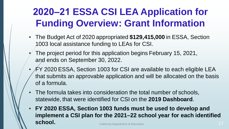## **2020‒21 ESSA CSI LEA Application for Funding Overview: Grant Information**

- The Budget Act of 2020 appropriated **\$129,415,000** in ESSA, Section 1003 local assistance funding to LEAs for CSI.
	- The project period for this application begins February 15, 2021, and ends on September 30, 2022.
- FY 2020 ESSA, Section 1003 for CSI are available to each eligible LEA that submits an approvable application and will be allocated on the basis of a formula.
- The formula takes into consideration the total number of schools, statewide, that were identified for CSI on the **2019 Dashboard**.
- **FY 2020 ESSA, Section 1003 funds must be used to develop and implement a CSI plan for the 2021–22 school year for each identified school.** California Department of Education **17** And the United States of Education 17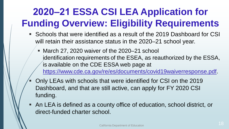# **2020‒21 ESSA CSI LEA Application for Funding Overview: Eligibility Requirements**

- Schools that were identified as a result of the 2019 Dashboard for CSI will retain their assistance status in the 2020–21 school year.
	- March 27, 2020 waiver of the 2020–21 school identification requirements of the ESEA, as reauthorized by the ESSA, is available on the CDE ESSA web page at [https://www.cde.ca.gov/re/es/documents/covid19waiverresponse.pdf.](https://www.cde.ca.gov/re/es/documents/covid19waiverresponse.pdf)
- Only LEAs with schools that were identified for CSI on the 2019 Dashboard, and that are still active, can apply for FY 2020 CSI funding.
- An LEA is defined as a county office of education, school district, or direct-funded charter school.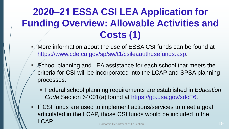# **2020‒21 ESSA CSI LEA Application for Funding Overview: Allowable Activities and Costs (1)**

- More information about the use of ESSA CSI funds can be found at [https://www.cde.ca.gov/sp/sw/t1/csileaauthusefunds.asp.](https://www.cde.ca.gov/sp/sw/t1/csileaauthusefunds.asp)
- School planning and LEA assistance for each school that meets the criteria for CSI will be incorporated into the LCAP and SPSA planning processes.
	- Federal school planning requirements are established in *Education Code* Section 64001(a) found at<https://go.usa.gov/xdcE6>.
- If CSI funds are used to implement actions/services to meet a goal articulated in the LCAP, those CSI funds would be included in the LCAP. California Department of Education <sup>19</sup>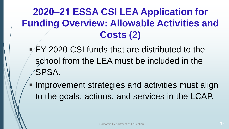## **2020‒21 ESSA CSI LEA Application for Funding Overview: Allowable Activities and Costs (2)**

 FY 2020 CSI funds that are distributed to the school from the LEA must be included in the SPSA.

**Improvement strategies and activities must align** to the goals, actions, and services in the LCAP.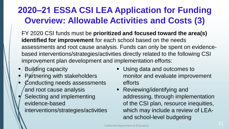#### **2020‒21 ESSA CSI LEA Application for Funding Overview: Allowable Activities and Costs (3)**

FY 2020 CSI funds must be **prioritized and focused toward the area(s) identified for improvement** for each school based on the needs assessments and root cause analysis. Funds can only be spent on evidencebased interventions/strategies/activities directly related to the following CSI improvement plan development and implementation efforts:

- Building capacity
- **Partnering with stakeholders**
- Conducting needs assessments and root cause analysis
- Selecting and implementing evidence-based interventions/strategies/activities
- **Using data and outcomes to** monitor and evaluate improvement efforts
- **Reviewing/identifying and** addressing, through implementation of the CSI plan, resource inequities, which may include a review of LEAand school-level budgeting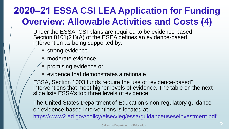### **2020‒21 ESSA CSI LEA Application for Funding Overview: Allowable Activities and Costs (4)**

Under the ESSA, CSI plans are required to be evidence-based. Section 8101(21)(A) of the ESEA defines an evidence-based intervention as being supported by:

- **strong evidence**
- moderate evidence
- **Promising evidence or**
- evidence that demonstrates a rationale

ESSA, Section 1003 funds require the use of "evidence-based" interventions that meet higher levels of evidence. The table on the next slide lists ESSA's top three levels of evidence.

The United States Department of Education's non-regulatory guidance on evidence-based interventions is located at

[https://www2.ed.gov/policy/elsec/leg/essa/guidanceuseseinvestment.pdf.](https://www2.ed.gov/policy/elsec/leg/essa/guidanceuseseinvestment.pdf)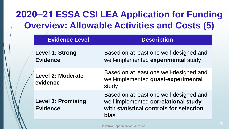#### **2020‒21 ESSA CSI LEA Application for Funding Overview: Allowable Activities and Costs (5)**

| <b>Evidence Level</b>                        | <b>Description</b>                                                                                                                        |
|----------------------------------------------|-------------------------------------------------------------------------------------------------------------------------------------------|
| <b>Level 1: Strong</b><br><b>Evidence</b>    | Based on at least one well-designed and<br>well-implemented experimental study                                                            |
| <b>Level 2: Moderate</b><br>evidence         | Based on at least one well-designed and<br>well-implemented quasi-experimental<br>study                                                   |
| <b>Level 3: Promising</b><br><b>Evidence</b> | Based on at least one well-designed and<br>well-implemented correlational study<br>with statistical controls for selection<br><b>bias</b> |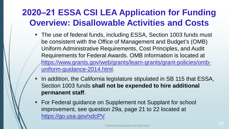#### **2020‒21 ESSA CSI LEA Application for Funding Overview: Disallowable Activities and Costs**

- The use of federal funds, including ESSA, Section 1003 funds must be consistent with the Office of Management and Budget's (OMB) Uniform Administrative Requirements, Cost Principles, and Audit Requirements for Federal Awards. OMB information is located at [https://www.grants.gov/web/grants/learn-grants/grant-policies/omb](https://www.grants.gov/web/grants/learn-grants/grant-policies/omb-uniform-guidance-2014.html)uniform-guidance-2014.html.
- In addition, the California legislature stipulated in SB 115 that ESSA, Section 1003 funds **shall not be expended to hire additional permanent staff**.
- For Federal guidance on Supplement not Supplant for school improvement, see question 29a, page 21 to 22 located at [https://go.usa.gov/xdcPV.](https://go.usa.gov/xdcPV)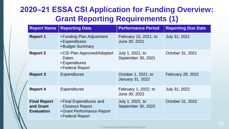#### **2020‒21 ESSA CSI Application for Funding Overview: Grant Reporting Requirements (1)**

| <b>Report Name</b>                                    | <b>Reporting Data</b>                                                                                | <b>Performance Period</b>                      | <b>Reporting Due Date</b> |
|-------------------------------------------------------|------------------------------------------------------------------------------------------------------|------------------------------------------------|---------------------------|
| <b>Report 1</b>                                       | • Funding Plan Adjustment<br>• Expenditures<br>• Budget Summary                                      | February 15, 2021, to<br>June 30, 2021         | July 31, 2021             |
| <b>Report 2</b>                                       | • CSI Plan Approved/Adopted<br><b>Dates</b><br>• Expenditures<br>• Federal Report                    | July 1, 2021, to<br>September 30, 2021         | October 31, 2021          |
| <b>Report 3</b>                                       | <b>Expenditures</b>                                                                                  | October 1, 2021, to<br><b>January 31, 2022</b> | February 28, 2022         |
| <b>Report 4</b>                                       | <b>Expenditures</b>                                                                                  | February 1, 2022, to<br>June 30, 2022          | <b>July 31, 2022</b>      |
| <b>Final Report</b><br>and Grant<br><b>Evaluation</b> | • Final Expenditures and<br><b>Closeout Report</b><br>• Grant Performance Report<br>• Federal Report | July 1, 2022, to<br>September 30, 2022         | October 31, 2022          |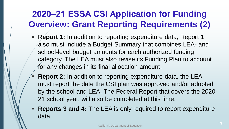#### **2020‒21 ESSA CSI Application for Funding Overview: Grant Reporting Requirements (2)**

- **Report 1:** In addition to reporting expenditure data, Report 1 also must include a Budget Summary that combines LEA- and school-level budget amounts for each authorized funding category. The LEA must also revise its Funding Plan to account for any changes in its final allocation amount.
- **Report 2:** In addition to reporting expenditure data, the LEA must report the date the CSI plan was approved and/or adopted by the school and LEA. The Federal Report that covers the 2020- 21 school year, will also be completed at this time.
- **Reports 3 and 4:** The LEA is only required to report expenditure data.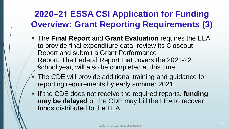#### **2020‒21 ESSA CSI Application for Funding Overview: Grant Reporting Requirements (3)**

- The **Final Report** and **Grant Evaluation** requires the LEA to provide final expenditure data, review its Closeout Report and submit a Grant Performance Report. The Federal Report that covers the 2021-22 school year, will also be completed at this time.
- The CDE will provide additional training and guidance for reporting requirements by early summer 2021.
- **If the CDE does not receive the required reports, funding may be delayed** or the CDE may bill the LEA to recover funds distributed to the LEA.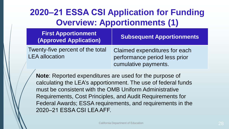#### **2020‒21 ESSA CSI Application for Funding Overview: Apportionments (1)**

| <b>First Apportionment</b><br>(Approved Application)      | <b>Subsequent Apportionments</b>                                                       |
|-----------------------------------------------------------|----------------------------------------------------------------------------------------|
| Twenty-five percent of the total<br><b>LEA</b> allocation | Claimed expenditures for each<br>performance period less prior<br>cumulative payments. |

**Note**: Reported expenditures are used for the purpose of calculating the LEA's apportionment. The use of federal funds must be consistent with the OMB Uniform Administrative Requirements, Cost Principles, and Audit Requirements for Federal Awards; ESSA requirements, and requirements in the 2020‒21 ESSA CSI LEA AFF.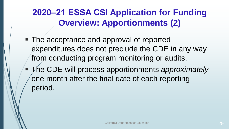#### **2020‒21 ESSA CSI Application for Funding Overview: Apportionments (2)**

- The acceptance and approval of reported expenditures does not preclude the CDE in any way from conducting program monitoring or audits.
- The CDE will process apportionments *approximately* one month after the final date of each reporting period.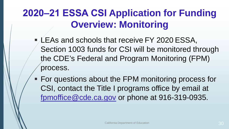### **2020‒21 ESSA CSI Application for Funding Overview: Monitoring**

- LEAs and schools that receive FY 2020 ESSA, Section 1003 funds for CSI will be monitored through the CDE's Federal and Program Monitoring (FPM) process.
- **For questions about the FPM monitoring process for** CSI, contact the Title I programs office by email at [fpmoffice@cde.ca.gov](mailto:fpmoffice@cde.ca.gov) or phone at 916-319-0935.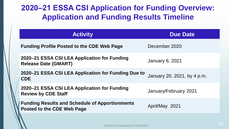#### **2020‒21 ESSA CSI Application for Funding Overview: Application and Funding Results Timeline**

| <b>Activity</b>                                                                            | <b>Due Date</b>             |
|--------------------------------------------------------------------------------------------|-----------------------------|
| <b>Funding Profile Posted to the CDE Web Page</b>                                          | December 2020               |
| 2020–21 ESSA CSI LEA Application for Funding<br><b>Release Date (GMART)</b>                | January 6, 2021             |
| 2020-21 ESSA CSI LEA Application for Funding Due to<br><b>CDE</b>                          | January 20, 2021, by 4 p.m. |
| 2020–21 ESSA CSI LEA Application for Funding<br><b>Review by CDE Staff</b>                 | January/February 2021       |
| <b>Funding Results and Schedule of Apportionments</b><br><b>Posted to the CDE Web Page</b> | April/May 2021              |
|                                                                                            |                             |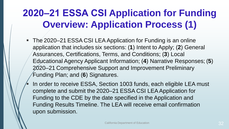## **2020‒21 ESSA CSI Application for Funding Overview: Application Process (1)**

- The 2020–21 ESSA CSI LEA Application for Funding is an online application that includes six sections: (**1**) Intent to Apply; (**2**) General Assurances, Certifications, Terms, and Conditions; (**3**) Local Educational Agency Applicant Information; (**4**) Narrative Responses; (**5**) 2020–21 Comprehensive Support and Improvement Preliminary Funding Plan; and (**6**) Signatures.
	- In order to receive ESSA, Section 1003 funds, each eligible LEA must complete and submit the 2020–21 ESSA CSI LEA Application for Funding to the CDE by the date specified in the Application and Funding Results Timeline. The LEA will receive email confirmation upon submission.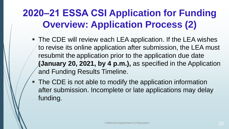## **2020‒21 ESSA CSI Application for Funding Overview: Application Process (2)**

- The CDE will review each LEA application. If the LEA wishes to revise its online application after submission, the LEA must resubmit the application prior to the application due date **(January 20, 2021, by 4 p.m.),** as specified in the Application and Funding Results Timeline.
- The CDE is not able to modify the application information after submission. Incomplete or late applications may delay funding.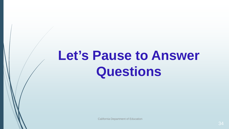# **Let's Pause to Answer Questions**

California Department of Education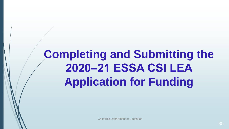# **Completing and Submitting the 2020‒21 ESSA CSI LEA Application for Funding**

California Department of Education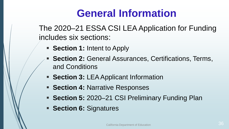# **General Information**

The 2020–21 ESSA CSI LEA Application for Funding includes six sections:

- **Section 1: Intent to Apply**
- **Section 2: General Assurances, Certifications, Terms,** and Conditions
- **Section 3: LEA Applicant Information**
- **Section 4: Narrative Responses**
- **Section 5:** 2020–21 CSI Preliminary Funding Plan
- **Section 6: Signatures**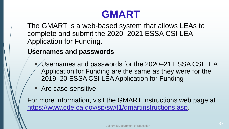## **GMART**

The GMART is a web-based system that allows LEAs to complete and submit the 2020–2021 ESSA CSI LEA Application for Funding.

**Usernames and passwords**:

- Usernames and passwords for the 2020–21 ESSA CSI LEA Application for Funding are the same as they were for the 2019–20 ESSA CSI LEA Application for Funding
- Are case-sensitive

For more information, visit the GMART instructions web page at [https://www.cde.ca.gov/sp/sw/t1/gmartinstructions.asp.](https://www.cde.ca.gov/sp/sw/t1/gmartinstructions.asp)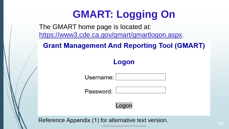# **GMART: Logging On**

The GMART home page is located at: <https://www3.cde.ca.gov/gmart/gmartlogon.aspx>.

**Grant Management And Reporting Tool (GMART)** 

#### Logon

Username:

Password:

Logor

Reference Appendix (1) for alternative text version.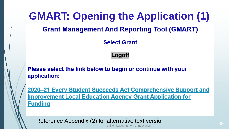# **GMART: Opening the Application (1) Grant Management And Reporting Tool (GMART)**

**Select Grant** 

Logoff

Please select the link below to begin or continue with your application:

2020–21 Every Student Succeeds Act Comprehensive Support and **Improvement Local Education Agency Grant Application for Funding** 

Reference Appendix (2) for alternative text version.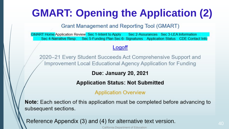# **GMART: Opening the Application (2)**

**Grant Management and Reporting Tool (GMART)** 

GMART Home Application Review Sec 1-Intent to Apply Sec 2-Assurances Sec 3-LEA Information Sec 4-Narrative Resp. Sec 5-Funding Plan Sec 6- Signatures Application Status CDE Contact Info

#### Logoff

2020–21 Every Student Succeeds Act Comprehensive Support and Improvement Local Educational Agency Application for Funding

Due: January 20, 2021

**Application Status: Not Submitted** 

**Application Overview** 

Note: Each section of this application must be completed before advancing to subsequent sections.

Reference Appendix (3) and (4) for alternative text version.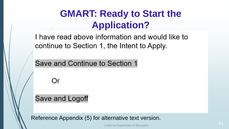### **GMART: Ready to Start the Application?**

I have read above information and would like to continue to Section 1, the Intent to Apply.

Save and Continue to Section 1

Or

Save and Logoff

Reference Appendix (5) for alternative text version.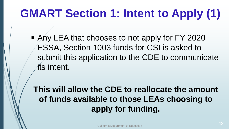# **GMART Section 1: Intent to Apply (1)**

■ Any LEA that chooses to not apply for FY 2020 ESSA, Section 1003 funds for CSI is asked to submit this application to the CDE to communicate its intent.

**This will allow the CDE to reallocate the amount of funds available to those LEAs choosing to apply for funding.**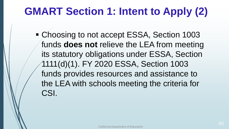# **GMART Section 1: Intent to Apply (2)**

**Example 20 India and Section 1003 Property** ESSA, Section 1003 funds **does not** relieve the LEA from meeting its statutory obligations under ESSA, Section 1111(d)(1). FY 2020 ESSA, Section 1003 funds provides resources and assistance to the LEA with schools meeting the criteria for CSI.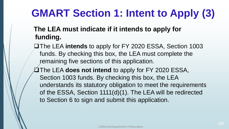## **GMART Section 1: Intent to Apply (3)**

#### **The LEA must indicate if it intends to apply for funding.**

- The LEA **intends** to apply for FY 2020 ESSA, Section 1003 funds. By checking this box, the LEA must complete the remaining five sections of this application.
- The LEA **does not intend** to apply for FY 2020 ESSA, Section 1003 funds. By checking this box, the LEA understands its statutory obligation to meet the requirements of the ESSA, Section 1111(d)(1). The LEA will be redirected to Section 6 to sign and submit this application.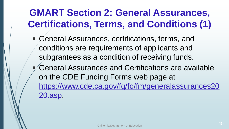### **GMART Section 2: General Assurances, Certifications, Terms, and Conditions (1)**

- General Assurances, certifications, terms, and conditions are requirements of applicants and subgrantees as a condition of receiving funds.
- General Assurances and Certifications are available on the CDE Funding Forms web page at https://www.cde.ca.gov/fg/fo/fm/generalassurances20 20.asp.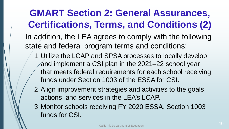#### **GMART Section 2: General Assurances, Certifications, Terms, and Conditions (2)** In addition, the LEA agrees to comply with the following state and federal program terms and conditions: 1.Utilize the LCAP and SPSA processes to locally develop and implement a CSI plan in the 2021–22 school year that meets federal requirements for each school receiving funds under Section 1003 of the ESSA for CSI. 2.Align improvement strategies and activities to the goals, actions, and services in the LEA's LCAP.

3.Monitor schools receiving FY 2020 ESSA, Section 1003 funds for CSI.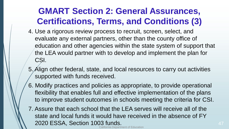#### **GMART Section 2: General Assurances, Certifications, Terms, and Conditions (3)**

- 4. Use a rigorous review process to recruit, screen, select, and evaluate any external partners, other than the county office of education and other agencies within the state system of support that the LEA would partner with to develop and implement the plan for CSI.
- 5. Align other federal, state, and local resources to carry out activities supported with funds received.
- 6. Modify practices and policies as appropriate, to provide operational flexibility that enables full and effective implementation of the plans to improve student outcomes in schools meeting the criteria for CSI.
- 7. Assure that each school that the LEA serves will receive all of the state and local funds it would have received in the absence of FY 2020 ESSA, Section 1003 funds.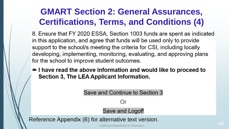#### **GMART Section 2: General Assurances, Certifications, Terms, and Conditions (4)**

8. Ensure that FY 2020 ESSA, Section 1003 funds are spent as indicated in this application, and agree that funds will be used only to provide support to the school/s meeting the criteria for CSI, including locally developing, implementing, monitoring, evaluating, and approving plans for the school to improve student outcomes.

I have read the above information and would like to proceed to Section 3, The LEA Applicant Information.

> Save and Continue to Section 3 Or Save and Logoff

Reference Appendix (6) for alternative text version.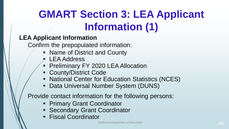# **GMART Section 3: LEA Applicant Information (1)**

#### **LEA Applicant Information**

Confirm the prepopulated information:

- Name of District and County
- LEA Address
- **Preliminary FY 2020 LEA Allocation**
- County/District Code
- National Center for Education Statistics (NCES)
- Data Universal Number System (DUNS)

Provide contact information for the following persons:

- Primary Grant Coordinator
- **Secondary Grant Coordinator**
- Fiscal Coordinator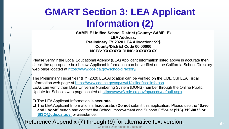### **GMART Section 3: LEA Applicant Information (2)**

**SAMPLE Unified School District (County: SAMPLE) LEA Address: Preliminary FY 2020 LEA Allocation: \$\$\$** County/District Code 00 00000 NCES: XXXXXXX DUNS: XXXXXXXX

Please verify if the Local Educational Agency (LEA) Applicant Information listed above is accurate then check the appropriate box below. Applicant Information can be verified on the California School Directory web page located at https://www.cde.ca.gov/schooldirectory/.

The Preliminary Fiscal Year (FY) 2020 LEA Allocation can be verified on the CDE CSI LEA Fiscal Information web page at https://www.cde.ca.gov/sp/sw/t1/csileafiscalinfo.asp. LEAs can verify their Data Universal Numbering System (DUNS) number through the Online Public Update for Schools web page located at https://www3.cde.ca.gov/opuscds/default.aspx.

 $\Box$  The LEA Applicant Information is accurate.

 $\Box$  The LEA Applicant Information is **inaccurate.** (Do not submit this application. Please use the "Save and Logoff" button and contact the School Improvement and Support Office at (916) 319-0833 or SISO@cde.ca.gov for assistance.

Reference Appendix (7) through (9) for alternative text version.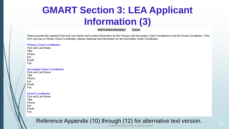### **GMART Section 3: LEA Applicant Information (3)**

**Edit Contact Information** 

Cancel

Please provide the required First and Last names and contact information for the Primary and Secondary Grant Coordinators and the Fiscal Coordinator. If the LEA only has a Primary Grant Coordinator, please duplicate that information for the Secondary Grant Coordinator.

#### **Primary Grant Coordinator**

First and Last Name: Title: Phone: Ext : Email: Fax:

#### **Secondary Grant Coordinator** First and Last Name:

| Title: |  |
|--------|--|
| Phone: |  |
| Ext. : |  |
| Email: |  |
| Fax:   |  |

#### **Fiscal Coordinator**

| First and Last Name: |
|----------------------|
| Title:               |
| Phone:               |
| Ext.:                |
| Email:               |
| Fax:                 |

#### Reference Appendix (10) through (12) for alternative text version. California Department of Education 51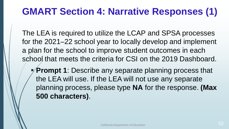### **GMART Section 4: Narrative Responses (1)**

The LEA is required to utilize the LCAP and SPSA processes for the 2021–22 school year to locally develop and implement a plan for the school to improve student outcomes in each school that meets the criteria for CSI on the 2019 Dashboard.

**Prompt 1**: Describe any separate planning process that the LEA will use. If the LEA will not use any separate planning process, please type **NA** for the response. **(Max 500 characters)**.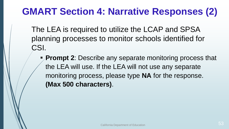### **GMART Section 4: Narrative Responses (2)**

The LEA is required to utilize the LCAP and SPSA planning processes to monitor schools identified for CSI.

**Prompt 2:** Describe any separate monitoring process that the LEA will use. If the LEA will not use any separate monitoring process, please type **NA** for the response. **(Max 500 characters)**.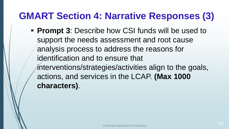#### **GMART Section 4: Narrative Responses (3)**

**Prompt 3: Describe how CSI funds will be used to** support the needs assessment and root cause analysis process to address the reasons for identification and to ensure that  $i$ nterventions/strategies/activities align to the goals, actions, and services in the LCAP. **(Max 1000 characters)**.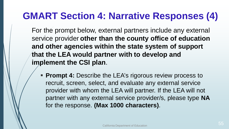#### **GMART Section 4: Narrative Responses (4)**

For the prompt below, external partners include any external service provider **other than the county office of education and other agencies within the state system of support that the LEA would partner with to develop and implement the CSI plan**.

**Prompt 4: Describe the LEA's rigorous review process to** recruit, screen, select, and evaluate any external service provider with whom the LEA will partner. If the LEA will not partner with any external service provider/s, please type **NA** for the response. **(Max 1000 characters)**.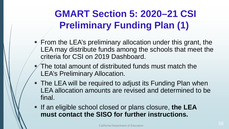## **GMART Section 5: 2020–21 CSI Preliminary Funding Plan (1)**

- $\blacktriangleright$  From the LEA's preliminary allocation under this grant, the LEA may distribute funds among the schools that meet the criteria for CSI on 2019 Dashboard.
- The total amount of distributed funds must match the LEA's Preliminary Allocation.
- The LEA will be required to adjust its Funding Plan when LEA allocation amounts are revised and determined to be final.
- **If an eligible school closed or plans closure, the LEA must contact the SISO for further instructions.**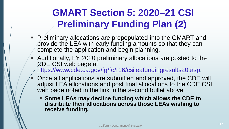## **GMART Section 5: 2020–21 CSI Preliminary Funding Plan (2)**

- Preliminary allocations are prepopulated into the GMART and provide the LEA with early funding amounts so that they can complete the application and begin planning.
- Additionally, FY 2020 preliminary allocations are posted to the CDE CSI web page at [https://www.cde.ca.gov/fg/fo/r16/csileafundingresults20.asp.](https://www.cde.ca.gov/fg/fo/r16/csileafundingresults20.asp)
- **Decall applications are submitted and approved, the CDE will** adjust LEA allocations and post final allocations to the CDE CSI web page noted in the link in the second bullet above.
	- **Some LEAs may decline funding which allows the CDE to distribute their allocations across those LEAs wishing to receive funding.**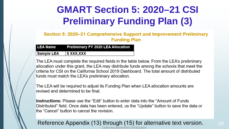## **GMART Section 5: 2020–21 CSI Preliminary Funding Plan (3)**

Section 5: 2020–21 Comprehensive Support and Improvement Preliminary **Funding Plan** 

| <b>LEA Name</b>   | <b>Preliminary FY 2020 LEA Allocation</b> |
|-------------------|-------------------------------------------|
| <b>Sample LEA</b> | \$ XXX,XXX                                |

The LEA must complete the required fields in the table below. From the LEA's preliminary allocation under this grant, the LEA may distribute funds among the schools that meet the criteria for CSI on the California School 2019 Dashboard. The total amount of distributed funds must match the LEA's preliminary allocation.

The LEA will be required to adjust its Funding Plan when LEA allocation amounts are revised and determined to be final.

**Instructions:** Please use the "Edit" button to enter data into the "Amount of Funds Distributed" field. Once data has been entered, us the "Update" button to save the data or the "Cancel" button to cancel the revision.

#### Reference Appendix (13) through (15) for alternative text version. California Department of Education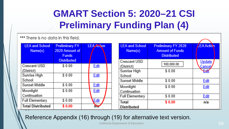## **GMART Section 5: 2020–21 CSI Preliminary Funding Plan (4)**

\*\*\* There is no data in this field.

| <b>LEA and School</b><br>Name(s) | <b>Preliminary FY</b><br>2020 Amount of<br><b>Funds</b> | <b>LEA Action</b> | <b>LEA and School</b><br>Name(s) | <b>Preliminary FY 2020</b><br><b>Amount of Funds</b><br><b>Distributed</b> | LEA Action              |
|----------------------------------|---------------------------------------------------------|-------------------|----------------------------------|----------------------------------------------------------------------------|-------------------------|
| Crescent USD                     | <b>Distributed</b><br>\$0.00                            |                   | Crescent USD                     | 100,000.00                                                                 | <b>Update</b>           |
| (District)                       |                                                         | Edit              | (District)<br>Sunrise High       | \$0.00                                                                     | <u> Cancel</u><br>Felit |
| Sunrise High                     | \$0.00                                                  | <b>Edit</b>       | School                           |                                                                            |                         |
| School                           |                                                         |                   | <b>Sunset Middle</b>             | \$0.00                                                                     | <b>Edit</b>             |
| Sunset Middle                    | \$0.00                                                  | <b>Edit</b>       | Moonlight                        | \$0.00                                                                     | <b>Edit</b>             |
| Moonlight                        | \$0.00                                                  | <b>Edit</b>       | Continuation                     |                                                                            |                         |
| Continuation                     |                                                         |                   | <b>Full Elementary</b>           | \$0.00                                                                     | <b>Edit</b>             |
| <b>Full Elementary</b>           | \$0.00                                                  | Edit              | <b>Total</b>                     | \$0.00                                                                     | n/a                     |
| <b>Total Distributed</b>         | \$0.00                                                  | ਨੋਚ               | <b>Distributed</b>               |                                                                            |                         |

#### Reference Appendix (16) through (19) for alternative text version.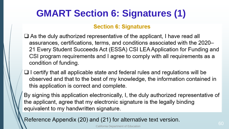### **GMART Section 6: Signatures (1)**

#### **Section 6: Signatures**

- $\Box$  As the duly authorized representative of the applicant, I have read all assurances, certifications, terms, and conditions associated with the 2020-21 Every Student Succeeds Act (ESSA) CSI LEA Application for Funding and CSI program requirements and I agree to comply with all requirements as a condition of funding.
- $\Box$  I certify that all applicable state and federal rules and regulations will be observed and that to the best of my knowledge, the information contained in this application is correct and complete.
- By signing this application electronically, I, the duly authorized representative of the applicant, agree that my electronic signature is the legally binding equivalent to my handwritten signature.

Reference Appendix (20) and (21) for alternative text version. California Department of Education 600 and 200 million control of California Department of Education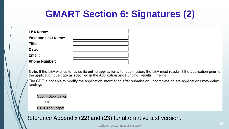### **GMART Section 6: Signatures (2)**

| <b>LEA Name:</b>            |  |
|-----------------------------|--|
| <b>First and Last Name:</b> |  |
| Title:                      |  |
| Date:                       |  |
| Email:                      |  |
| <b>Phone Number:</b>        |  |

Note: If the LEA wishes to revise its online application after submission, the LEA must resubmit the application prior to the application due date as specified in the Application and Funding Results Timeline.

The CDE is not able to modify the application information after submission. Incomplete or late applications may delay funding.

**Submit Application** 

Or

Save and Logoff

Reference Appendix (22) and (23) for alternative text version.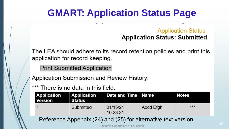### **GMART: Application Status Page**

#### **Application Status Application Status: Submitted**

The LEA should adhere to its record retention policies and print this application for record keeping.

**Print Submitted Application** 

Application Submission and Review History:

\*\*\* There is no data in this field.

| <b>Application</b><br><b>Version</b> | Application<br>∣ Status | Date and Time   Name |           | Notes |
|--------------------------------------|-------------------------|----------------------|-----------|-------|
|                                      | Submitted               | 01/15/21<br>10:23:31 | Abcd Efgh | ***   |
|                                      |                         |                      |           |       |

Reference Appendix (24) and (25) for alternative text version.

California Department of Education 62 and 200 million for the control of the control of  $62$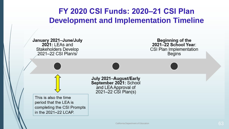#### **FY 2020 CSI Funds: 2020‒21 CSI Plan Development and Implementation Timeline**

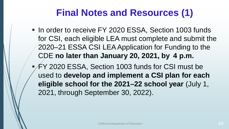## **Final Notes and Resources (1)**

- In order to receive FY 2020 ESSA, Section 1003 funds for CSI, each eligible LEA must complete and submit the 2020–21 ESSA CSI LEA Application for Funding to the CDE **no later than January 20, 2021, by 4 p.m.**
- FY 2020 ESSA, Section 1003 funds for CSI must be used to **develop and implement a CSI plan for each eligible school for the 2021–22 school year** (July 1, 2021, through September 30, 2022).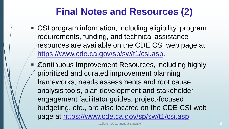## **Final Notes and Resources (2)**

- CSI program information, including eligibility, program requirements, funding, and technical assistance resources are available on the CDE CSI web page at <https://www.cde.ca.gov/sp/sw/t1/csi.asp>.
- Continuous Improvement Resources, including highly prioritized and curated improvement planning frameworks, needs assessments and root cause analysis tools, plan development and stakeholder engagement facilitator guides, project-focused budgeting, etc., are also located on the CDE CSI web page at<https://www.cde.ca.gov/sp/sw/t1/csi.asp>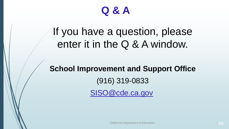

## If you have a question, please enter it in the Q & A window.

**School Improvement and Support Office**  (916) 319-0833 [SISO@cde.ca.gov](mailto:SISO@cde.ca.gov)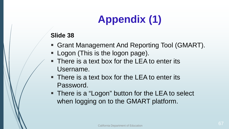# **Appendix (1)**

- Grant Management And Reporting Tool (GMART).
- **Logon (This is the logon page).**
- There is a text box for the LEA to enter its Username.
- **There is a text box for the LEA to enter its** Password.
- There is a "Logon" button for the LEA to select when logging on to the GMART platform.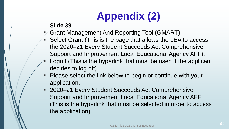# **Appendix (2)**

- Grant Management And Reporting Tool (GMART).
- **Select Grant (This is the page that allows the LEA to access)** the 2020–21 Every Student Succeeds Act Comprehensive Support and Improvement Local Educational Agency AFF).
- Logoff (This is the hyperlink that must be used if the applicant decides to log off).
- **Please select the link below to begin or continue with your** application.
- 2020–21 Every Student Succeeds Act Comprehensive Support and Improvement Local Educational Agency AFF (This is the hyperlink that must be selected in order to access the application).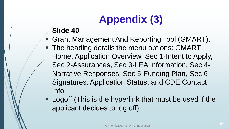# **Appendix (3)**

- Grant Management And Reporting Tool (GMART).
- **The heading details the menu options: GMART** Home, Application Overview, Sec 1-Intent to Apply, Sec 2-Assurances, Sec 3-LEA Information, Sec 4- Narrative Responses, Sec 5-Funding Plan, Sec 6- Signatures, Application Status, and CDE Contact Info.
- **Logoff (This is the hyperlink that must be used if the** applicant decides to log off).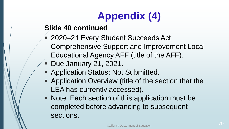# **Appendix (4)**

#### **Slide 40 continued**

- 2020–21 Every Student Succeeds Act Comprehensive Support and Improvement Local Educational Agency AFF (title of the AFF).
- **Due January 21, 2021.**
- Application Status: Not Submitted.
- **Application Overview (title of the section that the** LEA has currently accessed).
- **Note: Each section of this application must be** completed before advancing to subsequent sections.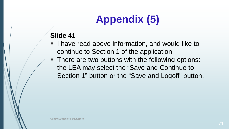# **Appendix (5)**

- **I** have read above information, and would like to continue to Section 1 of the application.
- **There are two buttons with the following options:** the LEA may select the "Save and Continue to Section 1" button or the "Save and Logoff" button.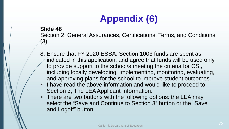## **Appendix (6)**

#### **Slide 48**

Section 2: General Assurances, Certifications, Terms, and Conditions (3)

- 8. Ensure that FY 2020 ESSA, Section 1003 funds are spent as indicated in this application, and agree that funds will be used only to provide support to the school/s meeting the criteria for CSI, including locally developing, implementing, monitoring, evaluating, and approving plans for the school to improve student outcomes.
- I have read the above information and would like to proceed to Section 3, The LEA Applicant Information.
- **There are two buttons with the following options: the LEA may** select the "Save and Continue to Section 3" button or the "Save and Logoff" button.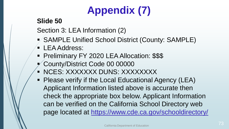# **Appendix (7)**

### **Slide 50**

Section 3: LEA Information (2)

- SAMPLE Unified School District (County: SAMPLE)
- **LEA Address:**
- **Preliminary FY 2020 LEA Allocation: \$\$\$**
- County/District Code 00 00000
- **NCES: XXXXXXX DUNS: XXXXXXXXX**
- Please verify if the Local Educational Agency (LEA) Applicant Information listed above is accurate then check the appropriate box below. Applicant Information can be verified on the California School Directory web page located at<https://www.cde.ca.gov/schooldirectory/>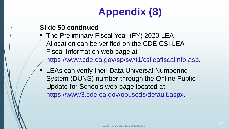# **Appendix (8)**

### **Slide 50 continued**

- The Preliminary Fiscal Year (FY) 2020 LEA Allocation can be verified on the CDE CSI LEA Fiscal Information web page at [https://www.cde.ca.gov/sp/sw/t1/csileafiscalinfo.asp.](https://www.cde.ca.gov/sp/sw/t1/csileafiscalinfo.asp)
- **EXALEAS can verify their Data Universal Numbering** System (DUNS) number through the Online Public Update for Schools web page located at [https://www3.cde.ca.gov/opuscds/default.aspx.](https://www3.cde.ca.gov/opuscds/default.aspx)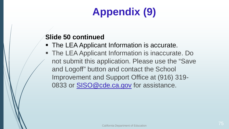# **Appendix (9)**

### **Slide 50 continued**

- The LEA Applicant Information is accurate.
- The LEA Applicant Information is inaccurate. Do not submit this application. Please use the "Save and Logoff" button and contact the School Improvement and Support Office at (916) 319- 0833 or [SISO@cde.ca.gov](mailto:SISO@cde.ca.gov) for assistance.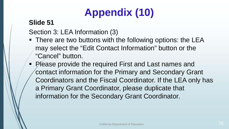# **Appendix (10)**

### **Slide 51**

Section 3: LEA Information (3)

- **There are two buttons with the following options: the LEA** may select the "Edit Contact Information" button or the "Cancel" button.
- Please provide the required First and Last names and contact information for the Primary and Secondary Grant Coordinators and the Fiscal Coordinator. If the LEA only has a Primary Grant Coordinator, please duplicate that information for the Secondary Grant Coordinator.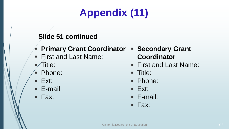# **Appendix (11)**

### **Slide 51 continued**

- **Primary Grant Coordinator Secondary Grant**
- First and Last Name:
- Title:
- Phone:
- $E$ **Ext:**
- E-mail:
- Fax:

**Coordinator** 

- First and Last Name:
- **Title:**
- Phone:
- $E$ **Ext:**
- E-mail:
- $\blacksquare$  Fax: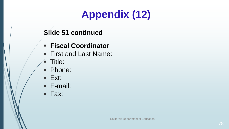# **Appendix (12)**

### **Slide 51 continued**

- **Fiscal Coordinator**
- First and Last Name:
- **Title:**
- **Phone:**
- $\blacksquare$  Ext:
- E-mail:
- Fax: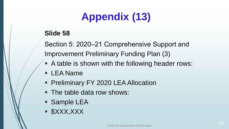# **Appendix (13)**

### **Slide 58**

Section 5: 2020–21 Comprehensive Support and Improvement Preliminary Funding Plan (3)

- A table is shown with the following header rows:
- **LEA Name**
- **Preliminary FY 2020 LEA Allocation**
- The table data row shows:
- Sample LEA
- \$XXX,XXX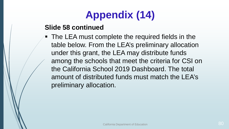# **Appendix (14)**

### **Slide 58 continued**

• The LEA must complete the required fields in the table below. From the LEA's preliminary allocation under this grant, the LEA may distribute funds among the schools that meet the criteria for CSI on the California School 2019 Dashboard. The total amount of distributed funds must match the LEA's preliminary allocation.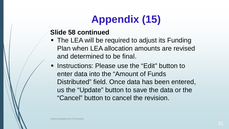# **Appendix (15)**

### **Slide 58 continued**

- The LEA will be required to adjust its Funding Plan when LEA allocation amounts are revised and determined to be final.
- **EXTERGHEET IN Instructions: Please use the "Edit" button to** enter data into the "Amount of Funds Distributed" field. Once data has been entered, us the "Update" button to save the data or the "Cancel" button to cancel the revision.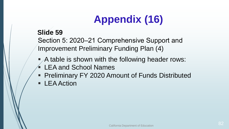# **Appendix (16)**

#### **Slide 59**

Section 5: 2020–21 Comprehensive Support and Improvement Preliminary Funding Plan (4)

- A table is shown with the following header rows:
- LEA and School Names
- **Preliminary FY 2020 Amount of Funds Distributed**
- LEA Action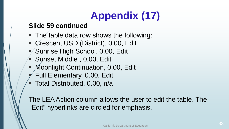# **Appendix (17)**

#### **Slide 59 continued**

- The table data row shows the following:
- Crescent USD (District), 0.00, Edit
- Sunrise High School, 0.00, Edit
- Sunset Middle , 0.00, Edit
- **Moonlight Continuation, 0.00, Edit**
- Full Elementary, 0.00, Edit
- **Total Distributed, 0.00, n/a**

The LEA Action column allows the user to edit the table. The "Edit" hyperlinks are circled for emphasis.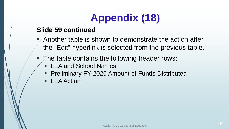## **Appendix (18)**

### **Slide 59 continued**

- Another table is shown to demonstrate the action after the "Edit" hyperlink is selected from the previous table.
- The table contains the following header rows:
	- LEA and School Names
	- **Preliminary FY 2020 Amount of Funds Distributed**
	- LEA Action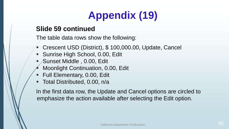# **Appendix (19)**

### **Slide 59 continued**

The table data rows show the following:

- Crescent USD (District), \$ 100,000.00, Update, Cancel
- Sunrise High School, 0.00, Edit
- Sunset Middle , 0.00, Edit
- Moonlight Continuation, 0.00, Edit
- Full Elementary, 0.00, Edit
- **Total Distributed, 0.00, n/a**

In the first data row, the Update and Cancel options are circled to emphasize the action available after selecting the Edit option.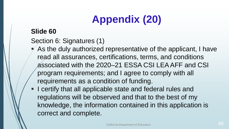# **Appendix (20)**

### **Slide 60**

- Section 6: Signatures (1)
- $\blacktriangleright$  As the duly authorized representative of the applicant, I have read all assurances, certifications, terms, and conditions associated with the 2020–21 ESSA CSI LEA AFF and CSI program requirements; and I agree to comply with all requirements as a condition of funding.
- **I** certify that all applicable state and federal rules and regulations will be observed and that to the best of my knowledge, the information contained in this application is correct and complete.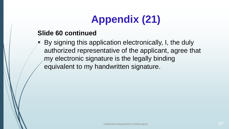# **Appendix (21)**

### **Slide 60 continued**

 By signing this application electronically, I, the duly authorized representative of the applicant, agree that my electronic signature is the legally binding equivalent to my handwritten signature.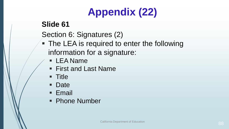# **Appendix (22)**

### **Slide 61**

Section 6: Signatures (2)

- **The LEA is required to enter the following** information for a signature:
	- LEA Name
	- First and Last Name
	- Title
	- **Date**
	- **Email**
	- Phone Number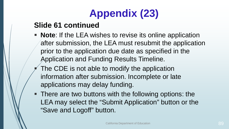# **Appendix (23)**

### **Slide 61 continued**

- **Note**: If the LEA wishes to revise its online application after submission, the LEA must resubmit the application prior to the application due date as specified in the Application and Funding Results Timeline.
- The CDE is not able to modify the application information after submission. Incomplete or late applications may delay funding.
- **There are two buttons with the following options: the** LEA may select the "Submit Application" button or the "Save and Logoff" button.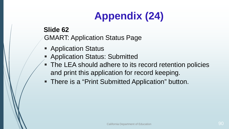# **Appendix (24)**

### **Slide 62** GMART: Application Status Page

- **Application Status**
- **Application Status: Submitted**
- The LEA should adhere to its record retention policies and print this application for record keeping.
- There is a "Print Submitted Application" button.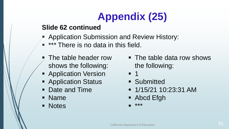# **Appendix (25)**

### **Slide 62 continued**

- Application Submission and Review History:
- **\*\*\*** There is no data in this field.
- The table header row shows the following:
- **Application Version**
- **Application Status**
- Date and Time
- Name
- **Notes**
- The table data row shows the following:
- $-1$
- **Submitted**
- $-1/15/2110:23:31$  AM
- Abcd Efgh
- \*\*\*